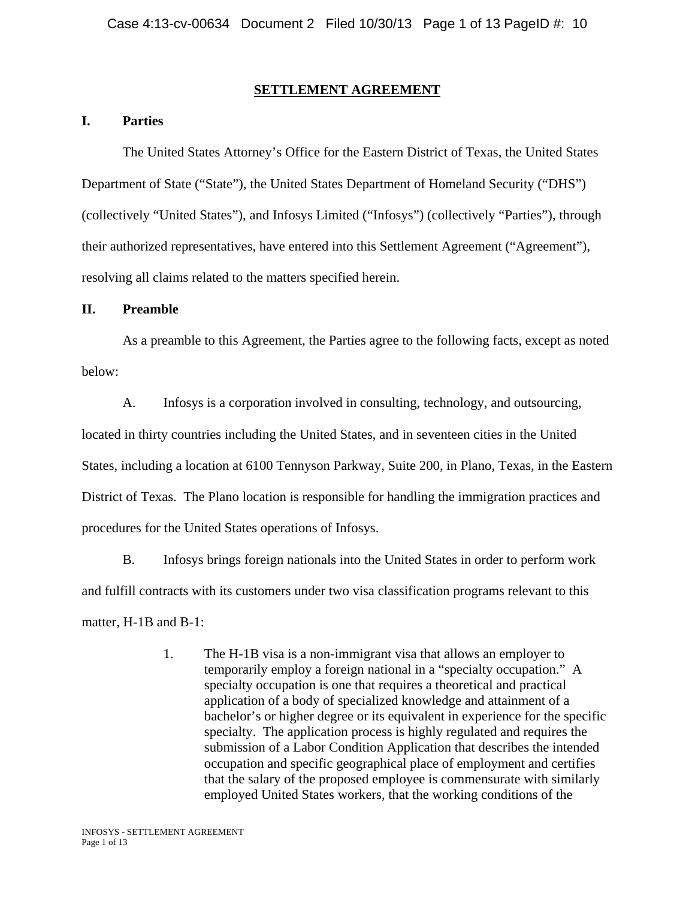### **SETTLEMENT AGREEMENT**

## **I. Parties**

 The United States Attorney's Office for the Eastern District of Texas, the United States Department of State ("State"), the United States Department of Homeland Security ("DHS") (collectively "United States"), and Infosys Limited ("Infosys") (collectively "Parties"), through their authorized representatives, have entered into this Settlement Agreement ("Agreement"), resolving all claims related to the matters specified herein.

## **II. Preamble**

 As a preamble to this Agreement, the Parties agree to the following facts, except as noted below:

A. Infosys is a corporation involved in consulting, technology, and outsourcing, located in thirty countries including the United States, and in seventeen cities in the United States, including a location at 6100 Tennyson Parkway, Suite 200, in Plano, Texas, in the Eastern District of Texas. The Plano location is responsible for handling the immigration practices and procedures for the United States operations of Infosys.

B. Infosys brings foreign nationals into the United States in order to perform work and fulfill contracts with its customers under two visa classification programs relevant to this matter, H-1B and B-1:

> 1. The H-1B visa is a non-immigrant visa that allows an employer to temporarily employ a foreign national in a "specialty occupation." A specialty occupation is one that requires a theoretical and practical application of a body of specialized knowledge and attainment of a bachelor's or higher degree or its equivalent in experience for the specific specialty. The application process is highly regulated and requires the submission of a Labor Condition Application that describes the intended occupation and specific geographical place of employment and certifies that the salary of the proposed employee is commensurate with similarly employed United States workers, that the working conditions of the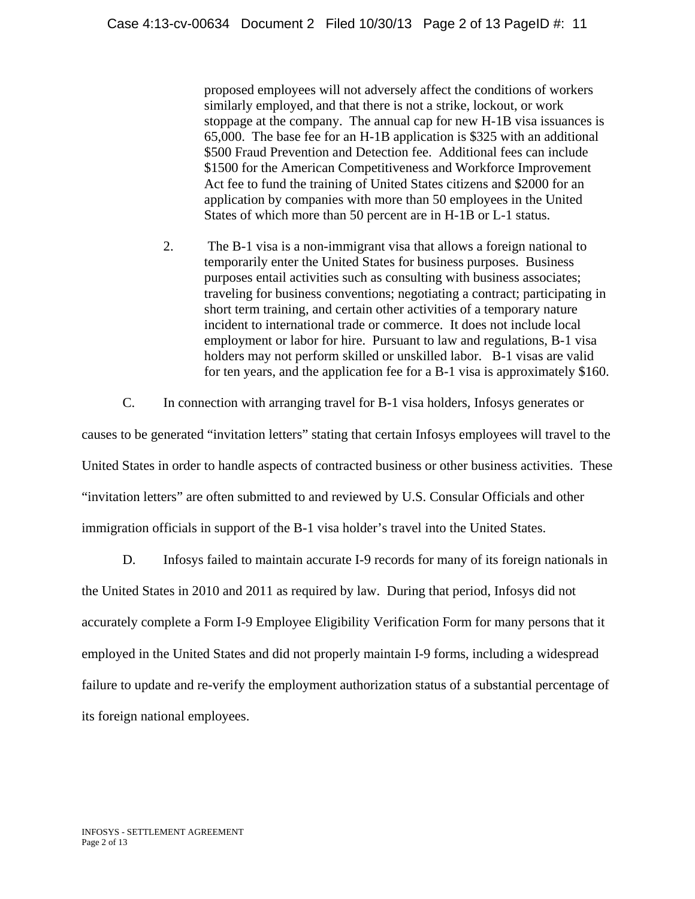proposed employees will not adversely affect the conditions of workers similarly employed, and that there is not a strike, lockout, or work stoppage at the company. The annual cap for new H-1B visa issuances is 65,000. The base fee for an H-1B application is \$325 with an additional \$500 Fraud Prevention and Detection fee. Additional fees can include \$1500 for the American Competitiveness and Workforce Improvement Act fee to fund the training of United States citizens and \$2000 for an application by companies with more than 50 employees in the United States of which more than 50 percent are in H-1B or L-1 status.

- 2. The B-1 visa is a non-immigrant visa that allows a foreign national to temporarily enter the United States for business purposes. Business purposes entail activities such as consulting with business associates; traveling for business conventions; negotiating a contract; participating in short term training, and certain other activities of a temporary nature incident to international trade or commerce. It does not include local employment or labor for hire. Pursuant to law and regulations, B-1 visa holders may not perform skilled or unskilled labor. B-1 visas are valid for ten years, and the application fee for a B-1 visa is approximately \$160.
- C. In connection with arranging travel for B-1 visa holders, Infosys generates or

causes to be generated "invitation letters" stating that certain Infosys employees will travel to the United States in order to handle aspects of contracted business or other business activities. These "invitation letters" are often submitted to and reviewed by U.S. Consular Officials and other immigration officials in support of the B-1 visa holder's travel into the United States.

D. Infosys failed to maintain accurate I-9 records for many of its foreign nationals in the United States in 2010 and 2011 as required by law. During that period, Infosys did not accurately complete a Form I-9 Employee Eligibility Verification Form for many persons that it employed in the United States and did not properly maintain I-9 forms, including a widespread failure to update and re-verify the employment authorization status of a substantial percentage of its foreign national employees.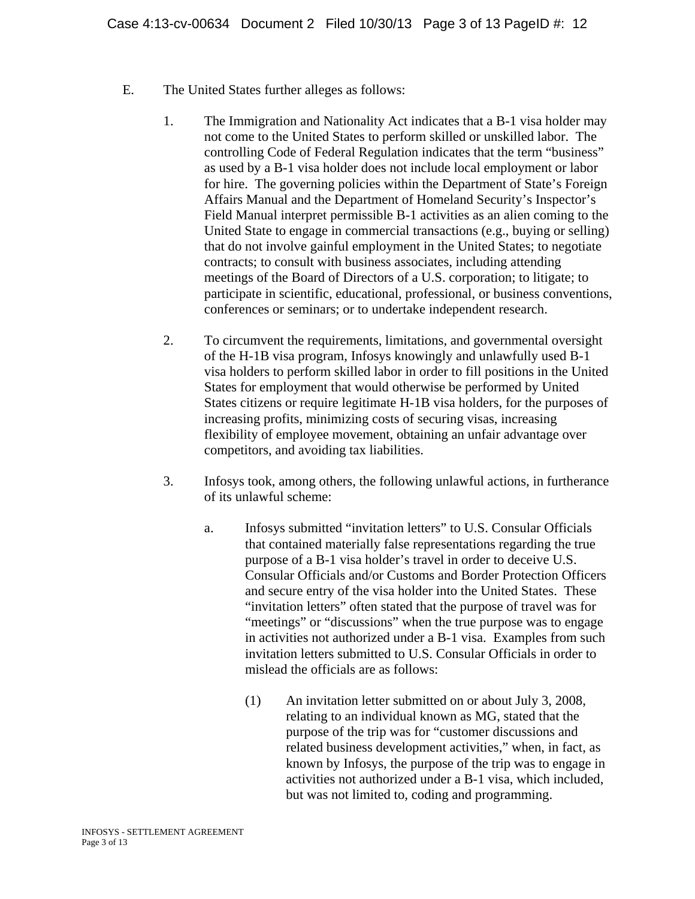- E. The United States further alleges as follows:
	- 1. The Immigration and Nationality Act indicates that a B-1 visa holder may not come to the United States to perform skilled or unskilled labor. The controlling Code of Federal Regulation indicates that the term "business" as used by a B-1 visa holder does not include local employment or labor for hire. The governing policies within the Department of State's Foreign Affairs Manual and the Department of Homeland Security's Inspector's Field Manual interpret permissible B-1 activities as an alien coming to the United State to engage in commercial transactions (e.g., buying or selling) that do not involve gainful employment in the United States; to negotiate contracts; to consult with business associates, including attending meetings of the Board of Directors of a U.S. corporation; to litigate; to participate in scientific, educational, professional, or business conventions, conferences or seminars; or to undertake independent research.
	- 2. To circumvent the requirements, limitations, and governmental oversight of the H-1B visa program, Infosys knowingly and unlawfully used B-1 visa holders to perform skilled labor in order to fill positions in the United States for employment that would otherwise be performed by United States citizens or require legitimate H-1B visa holders, for the purposes of increasing profits, minimizing costs of securing visas, increasing flexibility of employee movement, obtaining an unfair advantage over competitors, and avoiding tax liabilities.
	- 3. Infosys took, among others, the following unlawful actions, in furtherance of its unlawful scheme:
		- a. Infosys submitted "invitation letters" to U.S. Consular Officials that contained materially false representations regarding the true purpose of a B-1 visa holder's travel in order to deceive U.S. Consular Officials and/or Customs and Border Protection Officers and secure entry of the visa holder into the United States. These "invitation letters" often stated that the purpose of travel was for "meetings" or "discussions" when the true purpose was to engage in activities not authorized under a B-1 visa. Examples from such invitation letters submitted to U.S. Consular Officials in order to mislead the officials are as follows:
			- (1) An invitation letter submitted on or about July 3, 2008, relating to an individual known as MG, stated that the purpose of the trip was for "customer discussions and related business development activities," when, in fact, as known by Infosys, the purpose of the trip was to engage in activities not authorized under a B-1 visa, which included, but was not limited to, coding and programming.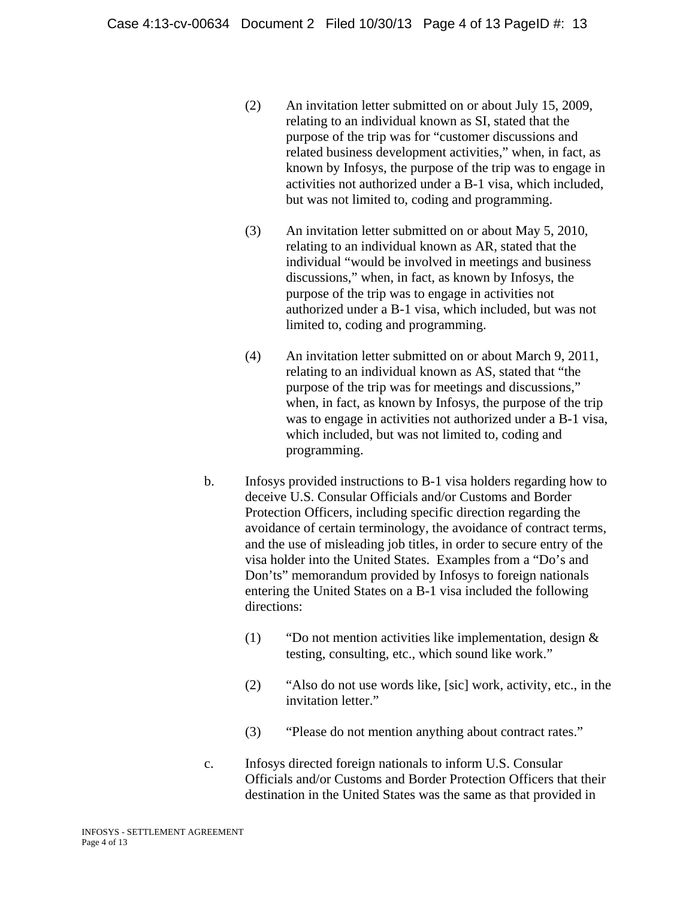- (2) An invitation letter submitted on or about July 15, 2009, relating to an individual known as SI, stated that the purpose of the trip was for "customer discussions and related business development activities," when, in fact, as known by Infosys, the purpose of the trip was to engage in activities not authorized under a B-1 visa, which included, but was not limited to, coding and programming.
- (3) An invitation letter submitted on or about May 5, 2010, relating to an individual known as AR, stated that the individual "would be involved in meetings and business discussions," when, in fact, as known by Infosys, the purpose of the trip was to engage in activities not authorized under a B-1 visa, which included, but was not limited to, coding and programming.
- (4) An invitation letter submitted on or about March 9, 2011, relating to an individual known as AS, stated that "the purpose of the trip was for meetings and discussions," when, in fact, as known by Infosys, the purpose of the trip was to engage in activities not authorized under a B-1 visa, which included, but was not limited to, coding and programming.
- b. Infosys provided instructions to B-1 visa holders regarding how to deceive U.S. Consular Officials and/or Customs and Border Protection Officers, including specific direction regarding the avoidance of certain terminology, the avoidance of contract terms, and the use of misleading job titles, in order to secure entry of the visa holder into the United States. Examples from a "Do's and Don'ts" memorandum provided by Infosys to foreign nationals entering the United States on a B-1 visa included the following directions:
	- (1) "Do not mention activities like implementation, design & testing, consulting, etc., which sound like work."
	- (2) "Also do not use words like, [sic] work, activity, etc., in the invitation letter."
	- (3) "Please do not mention anything about contract rates."
- c. Infosys directed foreign nationals to inform U.S. Consular Officials and/or Customs and Border Protection Officers that their destination in the United States was the same as that provided in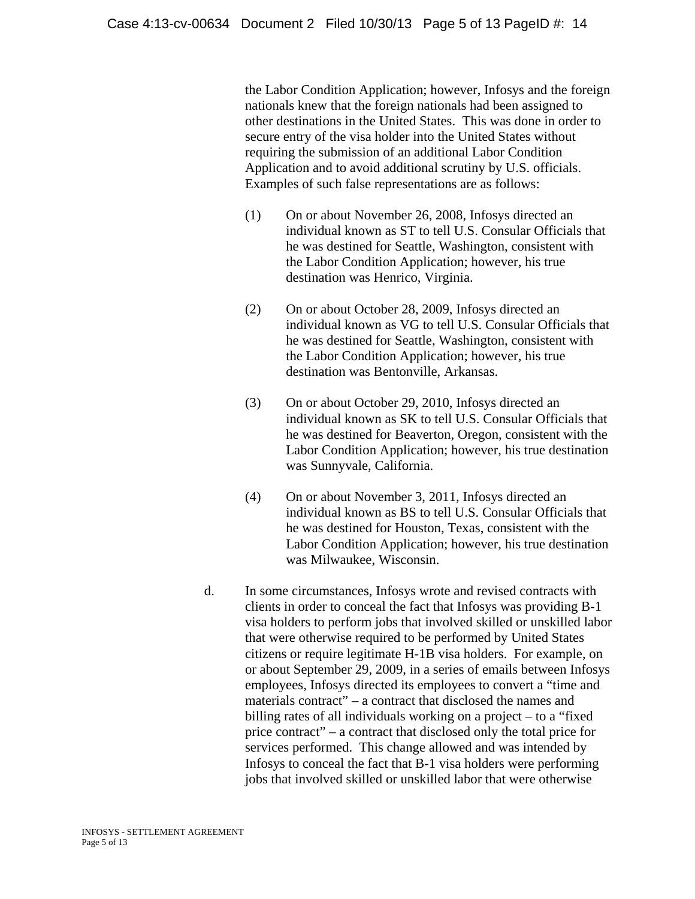the Labor Condition Application; however, Infosys and the foreign nationals knew that the foreign nationals had been assigned to other destinations in the United States. This was done in order to secure entry of the visa holder into the United States without requiring the submission of an additional Labor Condition Application and to avoid additional scrutiny by U.S. officials. Examples of such false representations are as follows:

- (1) On or about November 26, 2008, Infosys directed an individual known as ST to tell U.S. Consular Officials that he was destined for Seattle, Washington, consistent with the Labor Condition Application; however, his true destination was Henrico, Virginia.
- (2) On or about October 28, 2009, Infosys directed an individual known as VG to tell U.S. Consular Officials that he was destined for Seattle, Washington, consistent with the Labor Condition Application; however, his true destination was Bentonville, Arkansas.
- (3) On or about October 29, 2010, Infosys directed an individual known as SK to tell U.S. Consular Officials that he was destined for Beaverton, Oregon, consistent with the Labor Condition Application; however, his true destination was Sunnyvale, California.
- (4) On or about November 3, 2011, Infosys directed an individual known as BS to tell U.S. Consular Officials that he was destined for Houston, Texas, consistent with the Labor Condition Application; however, his true destination was Milwaukee, Wisconsin.
- d. In some circumstances, Infosys wrote and revised contracts with clients in order to conceal the fact that Infosys was providing B-1 visa holders to perform jobs that involved skilled or unskilled labor that were otherwise required to be performed by United States citizens or require legitimate H-1B visa holders. For example, on or about September 29, 2009, in a series of emails between Infosys employees, Infosys directed its employees to convert a "time and materials contract" – a contract that disclosed the names and billing rates of all individuals working on a project – to a "fixed price contract" – a contract that disclosed only the total price for services performed. This change allowed and was intended by Infosys to conceal the fact that B-1 visa holders were performing jobs that involved skilled or unskilled labor that were otherwise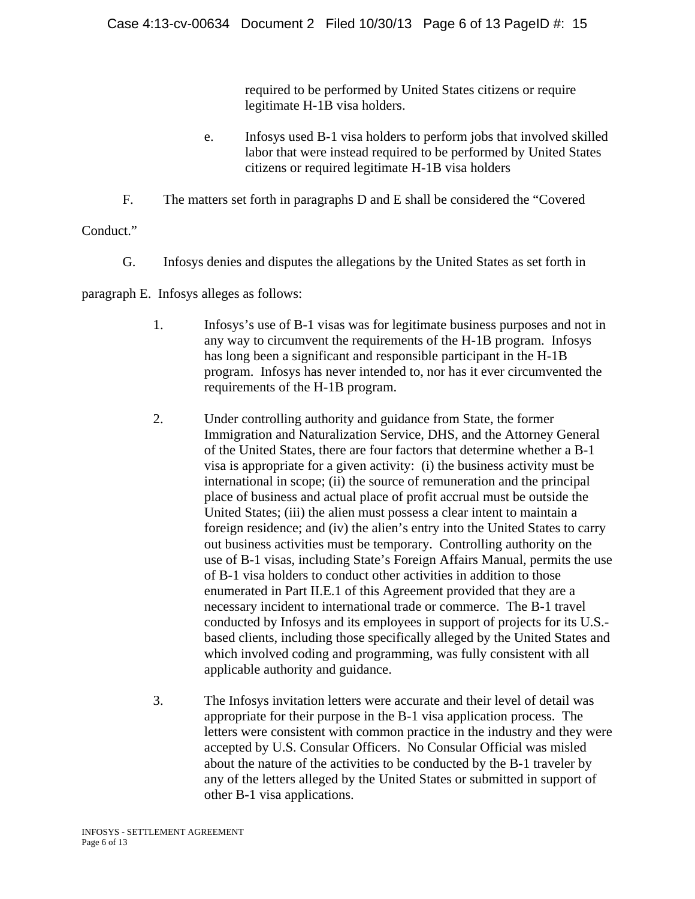required to be performed by United States citizens or require legitimate H-1B visa holders.

- e. Infosys used B-1 visa holders to perform jobs that involved skilled labor that were instead required to be performed by United States citizens or required legitimate H-1B visa holders
- F. The matters set forth in paragraphs D and E shall be considered the "Covered

Conduct."

G. Infosys denies and disputes the allegations by the United States as set forth in

paragraph E. Infosys alleges as follows:

- 1. Infosys's use of B-1 visas was for legitimate business purposes and not in any way to circumvent the requirements of the H-1B program. Infosys has long been a significant and responsible participant in the H-1B program. Infosys has never intended to, nor has it ever circumvented the requirements of the H-1B program.
- 2. Under controlling authority and guidance from State, the former Immigration and Naturalization Service, DHS, and the Attorney General of the United States, there are four factors that determine whether a B-1 visa is appropriate for a given activity: (i) the business activity must be international in scope; (ii) the source of remuneration and the principal place of business and actual place of profit accrual must be outside the United States; (iii) the alien must possess a clear intent to maintain a foreign residence; and (iv) the alien's entry into the United States to carry out business activities must be temporary. Controlling authority on the use of B-1 visas, including State's Foreign Affairs Manual, permits the use of B-1 visa holders to conduct other activities in addition to those enumerated in Part II.E.1 of this Agreement provided that they are a necessary incident to international trade or commerce. The B-1 travel conducted by Infosys and its employees in support of projects for its U.S. based clients, including those specifically alleged by the United States and which involved coding and programming, was fully consistent with all applicable authority and guidance.
- 3. The Infosys invitation letters were accurate and their level of detail was appropriate for their purpose in the B-1 visa application process. The letters were consistent with common practice in the industry and they were accepted by U.S. Consular Officers. No Consular Official was misled about the nature of the activities to be conducted by the B-1 traveler by any of the letters alleged by the United States or submitted in support of other B-1 visa applications.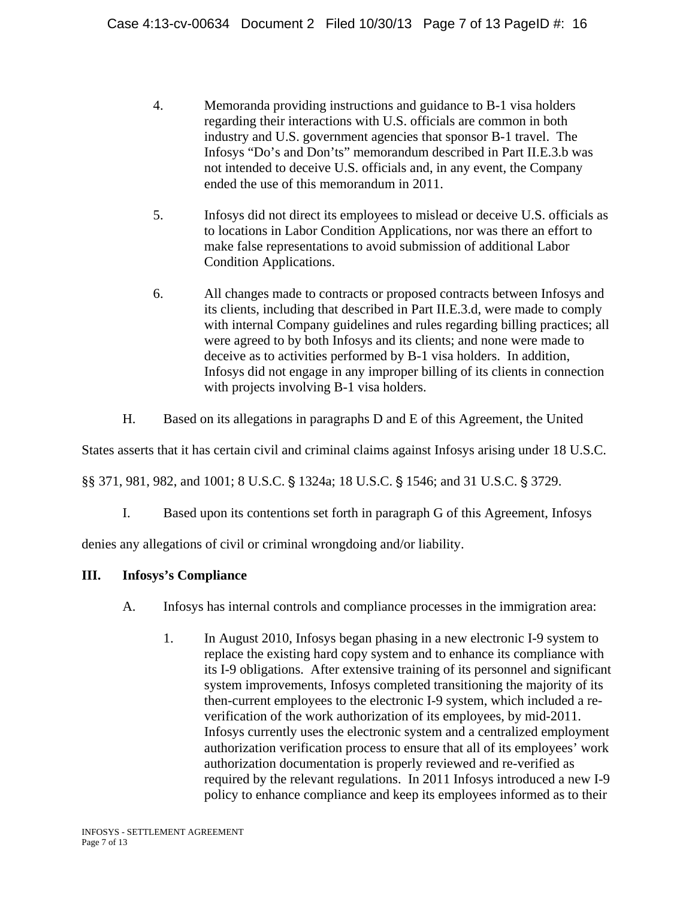- 4. Memoranda providing instructions and guidance to B-1 visa holders regarding their interactions with U.S. officials are common in both industry and U.S. government agencies that sponsor B-1 travel. The Infosys "Do's and Don'ts" memorandum described in Part II.E.3.b was not intended to deceive U.S. officials and, in any event, the Company ended the use of this memorandum in 2011.
- 5. Infosys did not direct its employees to mislead or deceive U.S. officials as to locations in Labor Condition Applications, nor was there an effort to make false representations to avoid submission of additional Labor Condition Applications.
- 6. All changes made to contracts or proposed contracts between Infosys and its clients, including that described in Part II.E.3.d, were made to comply with internal Company guidelines and rules regarding billing practices; all were agreed to by both Infosys and its clients; and none were made to deceive as to activities performed by B-1 visa holders. In addition, Infosys did not engage in any improper billing of its clients in connection with projects involving B-1 visa holders.
- H. Based on its allegations in paragraphs D and E of this Agreement, the United

States asserts that it has certain civil and criminal claims against Infosys arising under 18 U.S.C.

§§ 371, 981, 982, and 1001; 8 U.S.C. § 1324a; 18 U.S.C. § 1546; and 31 U.S.C. § 3729.

I. Based upon its contentions set forth in paragraph G of this Agreement, Infosys

denies any allegations of civil or criminal wrongdoing and/or liability.

## **III. Infosys's Compliance**

- A. Infosys has internal controls and compliance processes in the immigration area:
	- 1. In August 2010, Infosys began phasing in a new electronic I-9 system to replace the existing hard copy system and to enhance its compliance with its I-9 obligations. After extensive training of its personnel and significant system improvements, Infosys completed transitioning the majority of its then-current employees to the electronic I-9 system, which included a reverification of the work authorization of its employees, by mid-2011. Infosys currently uses the electronic system and a centralized employment authorization verification process to ensure that all of its employees' work authorization documentation is properly reviewed and re-verified as required by the relevant regulations. In 2011 Infosys introduced a new I-9 policy to enhance compliance and keep its employees informed as to their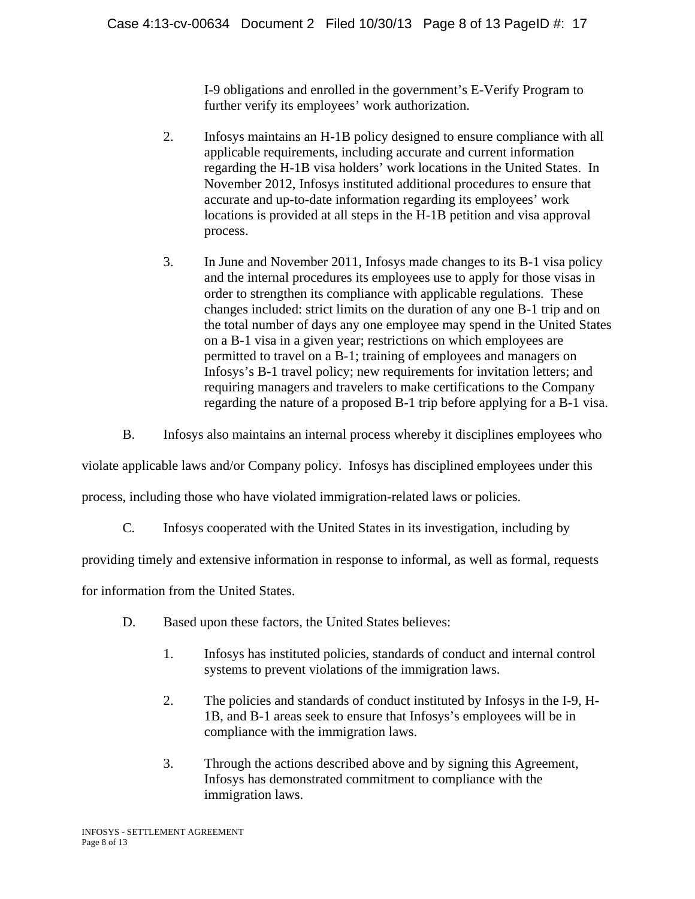I-9 obligations and enrolled in the government's E-Verify Program to further verify its employees' work authorization.

- 2. Infosys maintains an H-1B policy designed to ensure compliance with all applicable requirements, including accurate and current information regarding the H-1B visa holders' work locations in the United States. In November 2012, Infosys instituted additional procedures to ensure that accurate and up-to-date information regarding its employees' work locations is provided at all steps in the H-1B petition and visa approval process.
- 3. In June and November 2011, Infosys made changes to its B-1 visa policy and the internal procedures its employees use to apply for those visas in order to strengthen its compliance with applicable regulations. These changes included: strict limits on the duration of any one B-1 trip and on the total number of days any one employee may spend in the United States on a B-1 visa in a given year; restrictions on which employees are permitted to travel on a B-1; training of employees and managers on Infosys's B-1 travel policy; new requirements for invitation letters; and requiring managers and travelers to make certifications to the Company regarding the nature of a proposed B-1 trip before applying for a B-1 visa.
- B. Infosys also maintains an internal process whereby it disciplines employees who

violate applicable laws and/or Company policy. Infosys has disciplined employees under this

process, including those who have violated immigration-related laws or policies.

C. Infosys cooperated with the United States in its investigation, including by

providing timely and extensive information in response to informal, as well as formal, requests

for information from the United States.

- D. Based upon these factors, the United States believes:
	- 1. Infosys has instituted policies, standards of conduct and internal control systems to prevent violations of the immigration laws.
	- 2. The policies and standards of conduct instituted by Infosys in the I-9, H-1B, and B-1 areas seek to ensure that Infosys's employees will be in compliance with the immigration laws.
	- 3. Through the actions described above and by signing this Agreement, Infosys has demonstrated commitment to compliance with the immigration laws.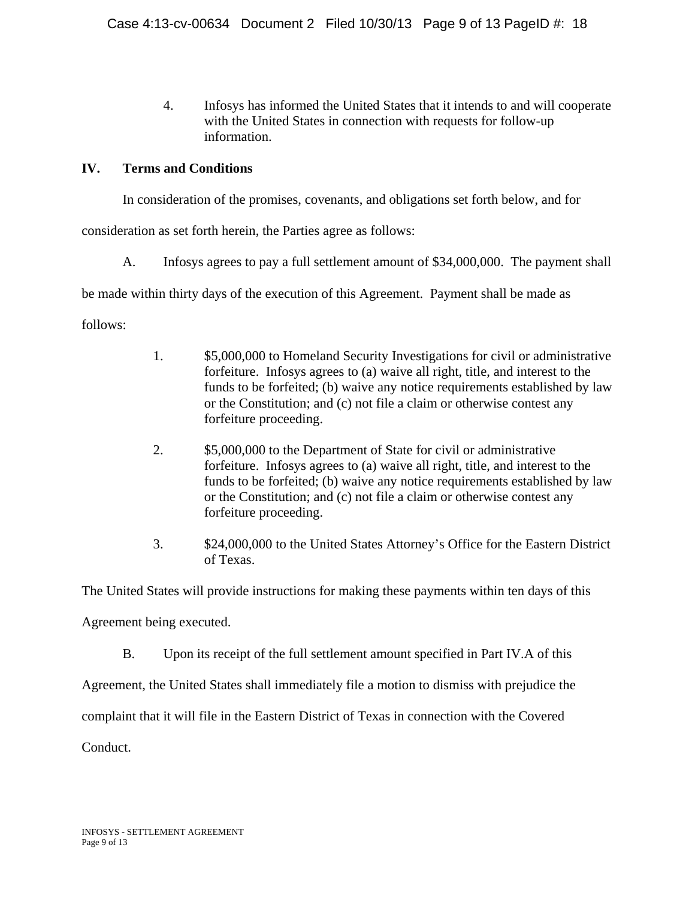4. Infosys has informed the United States that it intends to and will cooperate with the United States in connection with requests for follow-up information.

# **IV. Terms and Conditions**

In consideration of the promises, covenants, and obligations set forth below, and for

consideration as set forth herein, the Parties agree as follows:

A. Infosys agrees to pay a full settlement amount of \$34,000,000. The payment shall

be made within thirty days of the execution of this Agreement. Payment shall be made as

follows:

- 1. \$5,000,000 to Homeland Security Investigations for civil or administrative forfeiture. Infosys agrees to (a) waive all right, title, and interest to the funds to be forfeited; (b) waive any notice requirements established by law or the Constitution; and (c) not file a claim or otherwise contest any forfeiture proceeding.
- 2. \$5,000,000 to the Department of State for civil or administrative forfeiture. Infosys agrees to (a) waive all right, title, and interest to the funds to be forfeited; (b) waive any notice requirements established by law or the Constitution; and (c) not file a claim or otherwise contest any forfeiture proceeding.
- 3. \$24,000,000 to the United States Attorney's Office for the Eastern District of Texas.

The United States will provide instructions for making these payments within ten days of this

Agreement being executed.

B. Upon its receipt of the full settlement amount specified in Part IV.A of this

Agreement, the United States shall immediately file a motion to dismiss with prejudice the

complaint that it will file in the Eastern District of Texas in connection with the Covered

Conduct.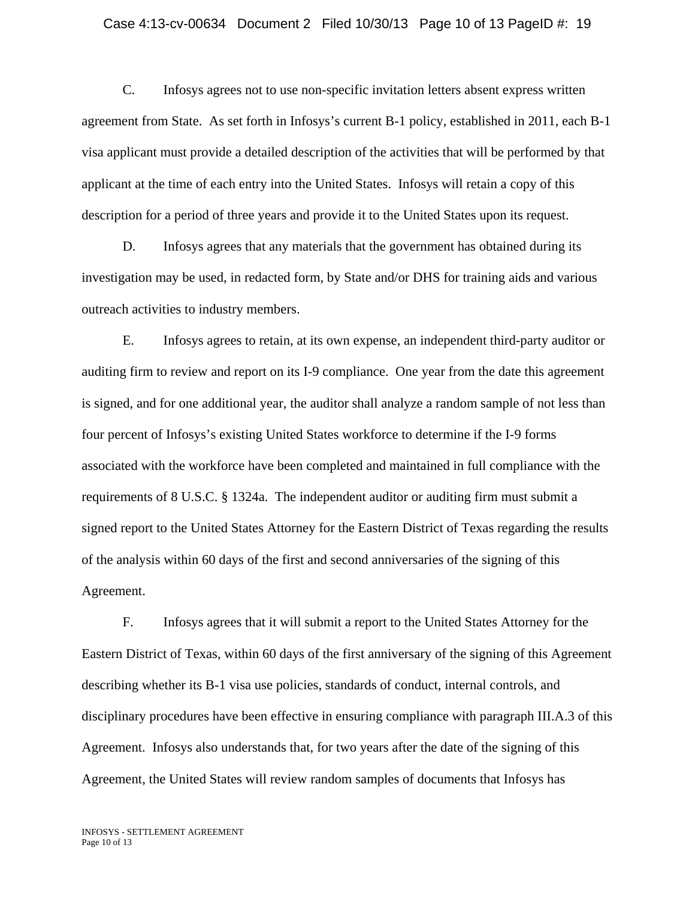#### Case 4:13-cv-00634 Document 2 Filed 10/30/13 Page 10 of 13 PageID #: 19

C. Infosys agrees not to use non-specific invitation letters absent express written agreement from State. As set forth in Infosys's current B-1 policy, established in 2011, each B-1 visa applicant must provide a detailed description of the activities that will be performed by that applicant at the time of each entry into the United States. Infosys will retain a copy of this description for a period of three years and provide it to the United States upon its request.

D. Infosys agrees that any materials that the government has obtained during its investigation may be used, in redacted form, by State and/or DHS for training aids and various outreach activities to industry members.

E. Infosys agrees to retain, at its own expense, an independent third-party auditor or auditing firm to review and report on its I-9 compliance. One year from the date this agreement is signed, and for one additional year, the auditor shall analyze a random sample of not less than four percent of Infosys's existing United States workforce to determine if the I-9 forms associated with the workforce have been completed and maintained in full compliance with the requirements of 8 U.S.C. § 1324a. The independent auditor or auditing firm must submit a signed report to the United States Attorney for the Eastern District of Texas regarding the results of the analysis within 60 days of the first and second anniversaries of the signing of this Agreement.

F. Infosys agrees that it will submit a report to the United States Attorney for the Eastern District of Texas, within 60 days of the first anniversary of the signing of this Agreement describing whether its B-1 visa use policies, standards of conduct, internal controls, and disciplinary procedures have been effective in ensuring compliance with paragraph III.A.3 of this Agreement. Infosys also understands that, for two years after the date of the signing of this Agreement, the United States will review random samples of documents that Infosys has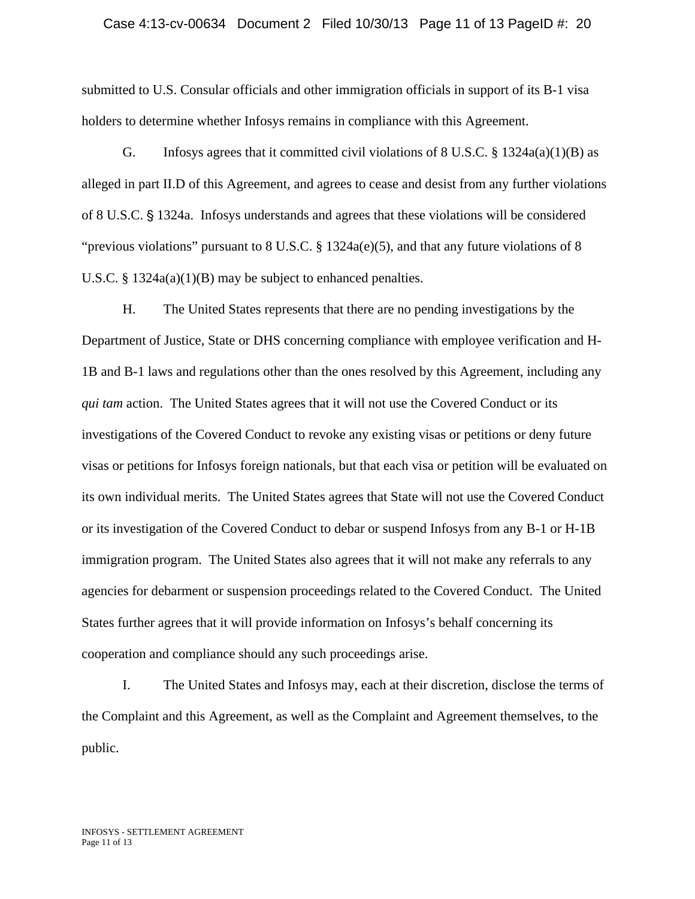#### Case 4:13-cv-00634 Document 2 Filed 10/30/13 Page 11 of 13 PageID #: 20

submitted to U.S. Consular officials and other immigration officials in support of its B-1 visa holders to determine whether Infosys remains in compliance with this Agreement.

G. Infosys agrees that it committed civil violations of  $8 \text{ U.S.C.} \$   $\frac{8 \text{ 1324a(a)(1)(B) as}}{2 \text{ 1324a(a)(1)(B) As}}$ alleged in part II.D of this Agreement, and agrees to cease and desist from any further violations of 8 U.S.C.  $\S$  1324a. Infosys understands and agrees that these violations will be considered "previous violations" pursuant to 8 U.S.C. § 1324a(e)(5), and that any future violations of 8 U.S.C. § 1324a(a)(1)(B) may be subject to enhanced penalties.

H. The United States represents that there are no pending investigations by the Department of Justice, State or DHS concerning compliance with employee verification and H-1B and B-1 laws and regulations other than the ones resolved by this Agreement, including any *qui tam* action. The United States agrees that it will not use the Covered Conduct or its investigations of the Covered Conduct to revoke any existing visas or petitions or deny future visas or petitions for Infosys foreign nationals, but that each visa or petition will be evaluated on its own individual merits. The United States agrees that State will not use the Covered Conduct or its investigation of the Covered Conduct to debar or suspend Infosys from any B-1 or H-1B immigration program. The United States also agrees that it will not make any referrals to any agencies for debarment or suspension proceedings related to the Covered Conduct. The United States further agrees that it will provide information on Infosys's behalf concerning its cooperation and compliance should any such proceedings arise.

I. The United States and Infosys may, each at their discretion, disclose the terms of the Complaint and this Agreement, as well as the Complaint and Agreement themselves, to the public.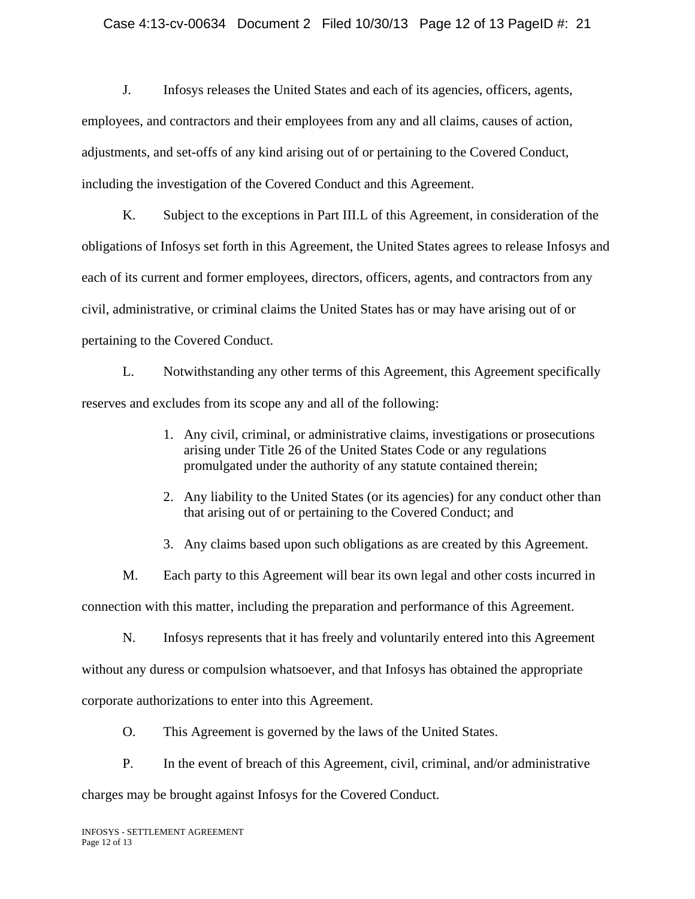### Case 4:13-cv-00634 Document 2 Filed 10/30/13 Page 12 of 13 PageID #: 21

J. Infosys releases the United States and each of its agencies, officers, agents, employees, and contractors and their employees from any and all claims, causes of action, adjustments, and set-offs of any kind arising out of or pertaining to the Covered Conduct, including the investigation of the Covered Conduct and this Agreement.

K. Subject to the exceptions in Part III.L of this Agreement, in consideration of the obligations of Infosys set forth in this Agreement, the United States agrees to release Infosys and each of its current and former employees, directors, officers, agents, and contractors from any civil, administrative, or criminal claims the United States has or may have arising out of or pertaining to the Covered Conduct.

L. Notwithstanding any other terms of this Agreement, this Agreement specifically reserves and excludes from its scope any and all of the following:

- 1. Any civil, criminal, or administrative claims, investigations or prosecutions arising under Title 26 of the United States Code or any regulations promulgated under the authority of any statute contained therein;
- 2. Any liability to the United States (or its agencies) for any conduct other than that arising out of or pertaining to the Covered Conduct; and

3. Any claims based upon such obligations as are created by this Agreement.

M. Each party to this Agreement will bear its own legal and other costs incurred in connection with this matter, including the preparation and performance of this Agreement.

N. Infosys represents that it has freely and voluntarily entered into this Agreement without any duress or compulsion whatsoever, and that Infosys has obtained the appropriate corporate authorizations to enter into this Agreement.

O. This Agreement is governed by the laws of the United States.

P. In the event of breach of this Agreement, civil, criminal, and/or administrative

charges may be brought against Infosys for the Covered Conduct.